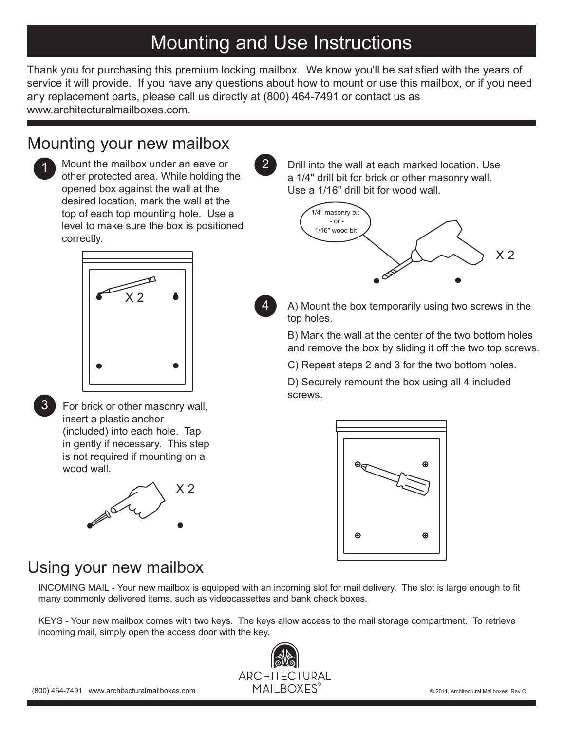## Mounting and Use Instructions

Thank you for purchasing this premium locking mailbox. We know you'll be satisfied with the years of service it will provide. If you have any questions about how to mount or use this mailbox, or if you need any replacement parts, please call us directly at (800) 464-7491 or contact us as www.architecturalmailboxes.com

4

#### Mounting your new mailbox



1 Mount the mailbox under an eave or 2 other protected area. While holding the opened box against the wall at the desired location, mark the wall at the top of each top mounting hole. Use a level to make sure the box is positioned correctly.



3

For brick or other masonry wall, insert a plastic anchor (included) into each hole. Tap in gently if necessary. This step is not required if mounting on a wood wall.



Drill into the wall at each marked location. Use a 1/4" drill bit for brick or other masonry wall. Use a 1/16" drill bit for wood wall.



A) Mount the box temporarily using two screws in the top holes.

B) Mark the wall at the center of the two bottom holes and remove the box by sliding it off the two top screws.

C) Repeat steps 2 and 3 for the two bottom holes.

D) Securely remount the box using all 4 included screws.



#### Using your new mailbox

INCOMING MAIL - Your new mailbox is equipped with an incoming slot for mail delivery. The slot is large enough to fit many commonly delivered items, such as videocassettes and bank check boxes.

KEYS - Your new mailbox comes with two keys. The keys allow access to the mail storage compartment. To retrieve incoming mail, simply open the access door with the key.

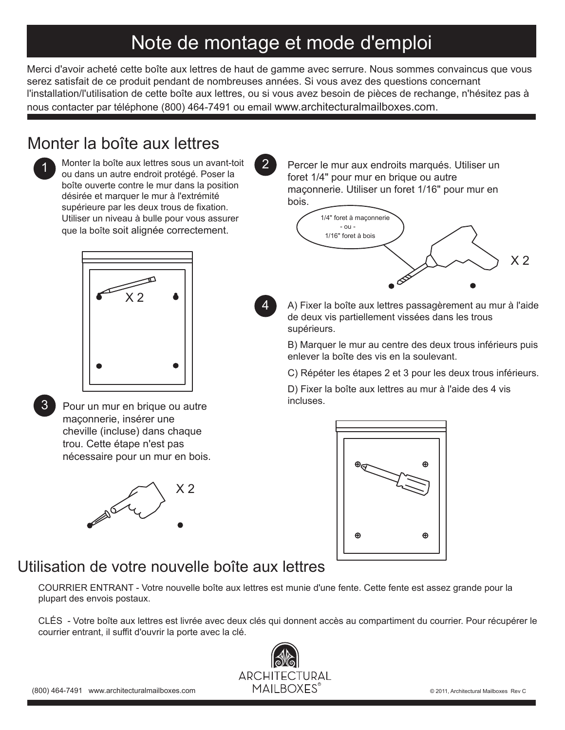# Note de montage et mode d'emploi

Merci d'avoir acheté cette boîte aux lettres de haut de gamme avec serrure. Nous sommes convaincus que vous serez satisfait de ce produit pendant de nombreuses années. Si vous avez des questions concernant l'installation/l'utilisation de cette boîte aux lettres, ou si vous avez besoin de pièces de rechange, n'hésitez pas à nous contacter par téléphone (800) 464-7491 ou email www.architecturalmailboxes.com.

4

### Monter la boîte aux lettres



1 Monter la boîte aux lettres sous un avant-toit<br>2 ou dans un autre endroit protégé. Poser la boîte ouverte contre le mur dans la position désirée et marquer le mur à l'extrémité supérieure par les deux trous de fixation. Utiliser un niveau à bulle pour vous assurer que la boîte soit alignée correctement.



3

Pour un mur en brique ou autre maçonnerie, insérer une cheville (incluse) dans chaque trou. Cette étape n'est pas nécessaire pour un mur en bois.



Percer le mur aux endroits marqués. Utiliser un foret 1/4" pour mur en brique ou autre maçonnerie. Utiliser un foret 1/16" pour mur en bois.



A) Fixer la boîte aux lettres passagèrement au mur à l'aide de deux vis partiellement vissées dans les trous supérieurs.

B) Marquer le mur au centre des deux trous inférieurs puis enlever la boîte des vis en la soulevant.

C) Répéter les étapes 2 et 3 pour les deux trous inférieurs.

D) Fixer la boîte aux lettres au mur à l'aide des 4 vis incluses.



### Utilisation de votre nouvelle boîte aux lettres

COURRIER ENTRANT - Votre nouvelle boîte aux lettres est munie d'une fente. Cette fente est assez grande pour la plupart des envois postaux.

CLÉS - Votre boîte aux lettres est livrée avec deux clés qui donnent accès au compartiment du courrier. Pour récupérer le courrier entrant, il suffit d'ouvrir la porte avec la clé.

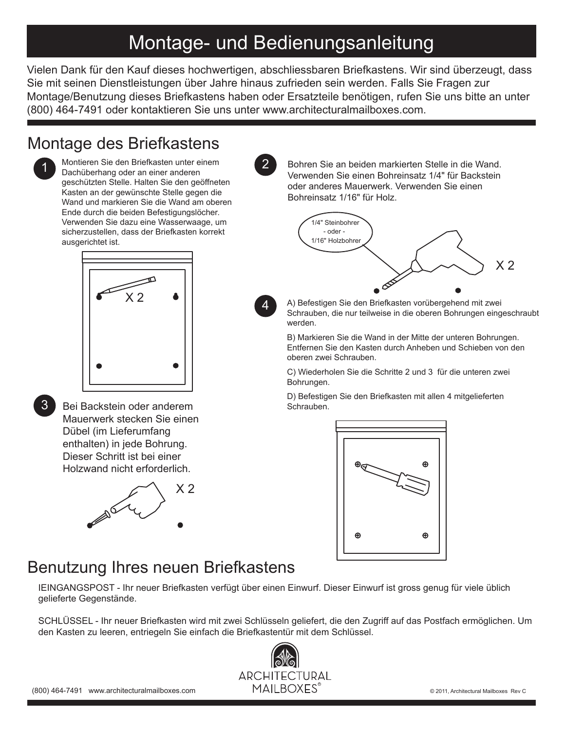## Montage- und Bedienungsanleitung

Vielen Dank für den Kauf dieses hochwertigen, abschliessbaren Briefkastens. Wir sind überzeugt, dass Sie mit seinen Dienstleistungen über Jahre hinaus zufrieden sein werden. Falls Sie Fragen zur Montage/Benutzung dieses Briefkastens haben oder Ersatzteile benötigen, rufen Sie uns bitte an unter (800) 464-7491 oder kontaktieren Sie uns unter www.architecturalmailboxes.com.

4

#### Montage des Briefkastens



1 Montieren Sie den Briefkasten unter einem<br>Dachüberhang oder an einer anderen Dachüberhang oder an einer anderen geschützten Stelle. Halten Sie den geöffneten Kasten an der gewünschte Stelle gegen die Wand und markieren Sie die Wand am oberen Ende durch die beiden Befestigungslöcher. Verwenden Sie dazu eine Wasserwaage, um sicherzustellen, dass der Briefkasten korrekt ausgerichtet ist.





Bei Backstein oder anderem Mauerwerk stecken Sie einen Dübel (im Lieferumfang enthalten) in jede Bohrung. Dieser Schritt ist bei einer Holzwand nicht erforderlich.



Bohren Sie an beiden markierten Stelle in die Wand. Verwenden Sie einen Bohreinsatz 1/4" für Backstein oder anderes Mauerwerk. Verwenden Sie einen Bohreinsatz 1/16" für Holz.



A) Befestigen Sie den Briefkasten vorübergehend mit zwei Schrauben, die nur teilweise in die oberen Bohrungen eingeschraubt werden.

B) Markieren Sie die Wand in der Mitte der unteren Bohrungen. Entfernen Sie den Kasten durch Anheben und Schieben von den oberen zwei Schrauben.

C) Wiederholen Sie die Schritte 2 und 3 für die unteren zwei Bohrungen.

D) Befestigen Sie den Briefkasten mit allen 4 mitgelieferten Schrauben.



### Benutzung Ihres neuen Briefkastens

IEINGANGSPOST - Ihr neuer Briefkasten verfügt über einen Einwurf. Dieser Einwurf ist gross genug für viele üblich gelieferte Gegenstände.

SCHLÜSSEL - Ihr neuer Briefkasten wird mit zwei Schlüsseln geliefert, die den Zugriff auf das Postfach ermöglichen. Um den Kasten zu leeren, entriegeln Sie einfach die Briefkastentür mit dem Schlüssel.